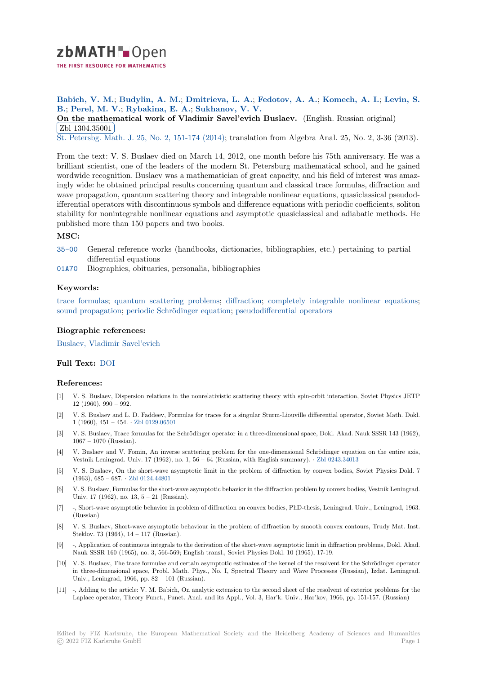

THE FIRST RESOURCE FOR MATHEMATICS

**Babich, V. M.**; **Budylin, A. M.**; **Dmitrieva, L. A.**; **Fedotov, A. A.**; **Komech, A. I.**; **Levin, S. [B](https://zbmath.org/).**; **Perel, M. V.**; **Rybakina, E. A.**; **Sukhanov, V. V.**

**On the mathematical work of Vladimir Savel'evich Buslaev.** (English. Russian original) Zbl 1304.35001

✂ ✁ [St. Petersbg. Ma](https://zbmath.org/authors/?q=ai:babich.vasilii-mikhailovich)th. J. [25, No. 2, 15](https://zbmath.org/authors/?q=ai:budylin.a-m)1[-174 \(2014\); transla](https://zbmath.org/authors/?q=ai:dmitrieva.l-a)t[ion from Algebra](https://zbmath.org/authors/?q=ai:fedotov.alexei-a%7Cfedotov.andrey-a) [Anal. 25, No. 2, 3](https://zbmath.org/authors/?q=ai:komech.alexander-ilich)-[36 \(2013\).](https://zbmath.org/authors/?q=ai:levin.s-b)

[From the text: V. S. Buslaev died on March 14, 2012, one month bef](https://zbmath.org/1304.35001)ore his 75th anniversary. He was a [brilliant scientist,](https://zbmath.org/1304.35001) one of the leaders of the modern St. Petersburg mathematical school, and he gained [wordwide recognition.](https://zbmath.org/journals/?q=se:1977) [Buslaev was a mathematic](https://zbmath.org/?q=in:338580)ian of great capacity, and his field of interest was amazingly wide: he obtained principal results concerning quantum and classical trace formulas, diffraction and wave propagation, quantum scattering theory and integrable nonlinear equations, quasiclassical pseudodifferential operators with discontinuous symbols and difference equations with periodic coefficients, soliton stability for nonintegrable nonlinear equations and asymptotic quasiclassical and adiabatic methods. He published more than 150 papers and two books.

# **MSC:**

- 35-00 General reference works (handbooks, dictionaries, bibliographies, etc.) pertaining to partial differential equations
- 01A70 Biographies, obituaries, personalia, bibliographies

# **[Keyw](https://zbmath.org/classification/?q=cc:35-00)ords:**

trace formulas; quantum scattering problems; diffraction; completely integrable nonlinear equations; [sound](https://zbmath.org/classification/?q=cc:01A70) propagation; periodic Schrödinger equation; pseudodifferential operators

## **Biographic references:**

[Buslaev, Vladi](https://zbmath.org/?q=ut:trace+formulas)[m](https://zbmath.org/?q=ut:sound+propagation)[ir Savel'evich](https://zbmath.org/?q=ut:quantum+scattering+problems)

## **Full Text:** DOI

## **[References:](https://zbmath.org/authors?q=ai:buslaev.vladimir-s)**

- [1] V. S. Buslaev, Dispersion relations in the nonrelativistic scattering theory with spin-orbit interaction, Soviet Physics JETP 12 (1960)[, 990](https://dx.doi.org/10.1090/S1061-0022-2014-01283-6) – 992.
- [2] V. S. Buslaev and L. D. Faddeev, Formulas for traces for a singular Sturm-Liouville differential operator, Soviet Math. Dokl. 1 (1960), 451 – 454. *·* Zbl 0129.06501
- [3] V. S. Buslaev, Trace formulas for the Schrödinger operator in a three-dimensional space, Dokl. Akad. Nauk SSSR 143 (1962), 1067 – 1070 (Russian).
- [4] V. Buslaev and V. Fomin, An inverse scattering problem for the one-dimensional Schrödinger equation on the entire axis, Vestnik Leningrad. U[niv. 17 \(1962\), n](https://zbmath.org/0129.06501)o. 1, 56 – 64 (Russian, with English summary). *·* Zbl 0243.34013
- [5] V. S. Buslaev, On the short-wave asymptotic limit in the problem of diffraction by convex bodies, Soviet Physics Dokl. 7 (1963), 685 – 687. *·* Zbl 0124.44801
- [6] V. S. Buslaev, Formulas for the short-wave asymptotic behavior in the diffraction problem by convex bodies, Vestnik Leningrad. Univ. 17 (1962), no. 13, 5 – 21 (Russian).
- [7] -, Short-wave asymptotic behavior in problem of diffraction on convex bodies, PhD-thesis, Leningrad. Univ., Leningrad, 1963. (Russian)
- [8] V. S. Buslaev, Short-wave asymptotic behaviour in the problem of diffraction by smooth convex contours, Trudy Mat. Inst. Steklov. 73 (1964), 14 – 117 (Russian).
- [9] -, Application of continuous integrals to the derivation of the short-wave asymptotic limit in diffraction problems, Dokl. Akad. Nauk SSSR 160 (1965), no. 3, 566-569; English transl., Soviet Physics Dokl. 10 (1965), 17-19.
- [10] V. S. Buslaev, The trace formulae and certain asymptotic estimates of the kernel of the resolvent for the Schrödinger operator in three-dimensional space, Probl. Math. Phys., No. I, Spectral Theory and Wave Processes (Russian), Izdat. Leningrad. Univ., Leningrad, 1966, pp. 82 – 101 (Russian).
- [11] -, Adding to the article: V. M. Babich, On analytic extension to the second sheet of the resolvent of exterior problems for the Laplace operator, Theory Funct., Funct. Anal. and its Appl., Vol. 3, Har'k. Univ., Har'kov, 1966, pp. 151-157. (Russian)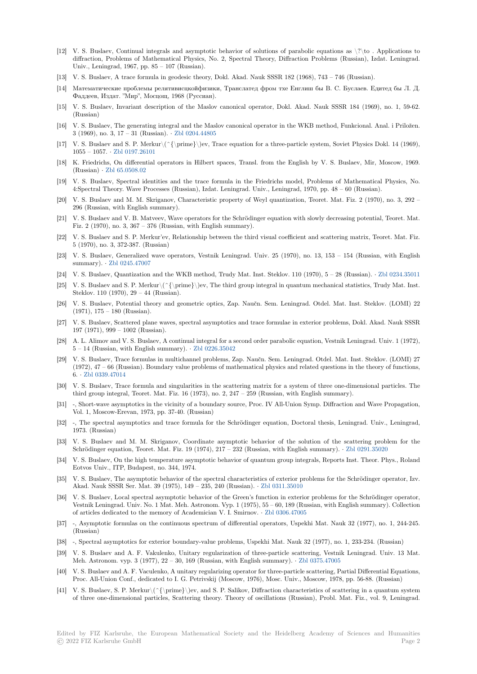- [12] V. S. Buslaev, Continual integrals and asymptotic behavior of solutions of parabolic equations as \?\to . Applications to diffraction, Problems of Mathematical Physics, No. 2, Spectral Theory, Diffraction Problems (Russian), Izdat. Leningrad. Univ., Leningrad, 1967, pp. 85 – 107 (Russian).
- [13] V. S. Buslaev, A trace formula in geodesic theory, Dokl. Akad. Nauk SSSR 182 (1968), 743 746 (Russian).
- [14] Математические проблемы релятивисцкойфизики, Транслатед фром тхе Енглиш бы В. С. Буслаев. Едитед бы Л. Д. Фаддеев, Издат. "Мир", Мосцощ, 1968 (Руссиан).
- [15] V. S. Buslaev, Invariant description of the Maslov canonical operator, Dokl. Akad. Nauk SSSR 184 (1969), no. 1, 59-62. (Russian)
- [16] V. S. Buslaev, The generating integral and the Maslov canonical operator in the WKB method, Funkcional. Anal. i Priložen. 3 (1969), no. 3, 17 – 31 (Russian). *·* Zbl 0204.44805
- [17] V. S. Buslaev and S. P. Merkur\(^{\prime}\)ev, Trace equation for a three-particle system, Soviet Physics Dokl. 14 (1969), 1055 – 1057. *·* Zbl 0197.26101
- [18] K. Friedrichs, On differential operators in Hilbert spaces, Transl. from the English by V. S. Buslaev, Mir, Moscow, 1969. (Russian) *·* Zbl 65.0508.02
- [19] V. S. Buslaev, Spectral identities and the trace formula in the Friedrichs model, Problems of Mathematical Physics, No. 4:Spectral The[ory. Wave Proc](https://zbmath.org/0197.26101)esses (Russian), Izdat. Leningrad. Univ., Leningrad, 1970, pp. 48 – 60 (Russian).
- [20] V. S. Buslaev and M. M. Skriganov, Characteristic property of Weyl quantization, Teoret. Mat. Fiz. 2 (1970), no. 3, 292 296 (Russia[n, with English](https://zbmath.org/65.0508.02) summary).
- [21] V. S. Buslaev and V. B. Matveev, Wave operators for the Schrödinger equation with slowly decreasing potential, Teoret. Mat. Fiz. 2 (1970), no. 3, 367 – 376 (Russian, with English summary).
- [22] V. S. Buslaev and S. P. Merkur'ev, Relationship between the third visual coefficient and scattering matrix, Teoret. Mat. Fiz. 5 (1970), no. 3, 372-387. (Russian)
- [23] V. S. Buslaev, Generalized wave operators, Vestnik Leningrad. Univ. 25 (1970), no. 13, 153 154 (Russian, with English summary). *·* Zbl 0245.47007
- [24] V. S. Buslaev, Quantization and the WKB method, Trudy Mat. Inst. Steklov. 110 (1970), 5 28 (Russian). *·* Zbl 0234.35011
- [25] V. S. Buslaev and S. P. Merkur\(^{\prime}\)ev, The third group integral in quantum mechanical statistics, Trudy Mat. Inst. Steklov. 110 (1970), 29 – 44 (Russian).
- [26] V. S. Buslae[v, Potential the](https://zbmath.org/0245.47007)ory and geometric optics, Zap. Naučn. Sem. Leningrad. Otdel. Mat. Inst. Steklov. (LOMI) 22 (1971), 175 – 180 (Russian).
- [27] V. S. Buslaev, Scattered plane waves, spectral asymptotics and trace formulae in exterior problems, Dokl. Akad. Nauk SSSR 197 (1971), 999 – 1002 (Russian).
- [28] A. L. Alimov and V. S. Buslaev, A continual integral for a second order parabolic equation, Vestnik Leningrad. Univ. 1 (1972), 5 – 14 (Russian, with English summary). *·* Zbl 0226.35042
- [29] V. S. Buslaev, Trace formulas in multichannel problems, Zap. Naučn. Sem. Leningrad. Otdel. Mat. Inst. Steklov. (LOMI) 27 (1972), 47 – 66 (Russian). Boundary value problems of mathematical physics and related questions in the theory of functions, 6. *·* Zbl 0339.47014
- [30] V. S. Buslaev, Trace formula and singulari[ties in the scatt](https://zbmath.org/0226.35042)ering matrix for a system of three one-dimensional particles. The third group integral, Teoret. Mat. Fiz. 16 (1973), no. 2, 247 – 259 (Russian, with English summary).
- [31] -, Short-wave asymptotics in the vicinity of a boundary source, Proc. IV All-Union Symp. Diffraction and Wave Propagation, Vol. [1, Moscow-Ere](https://zbmath.org/0339.47014)van, 1973, pp. 37-40. (Russian)
- [32] -, The spectral asymptotics and trace formula for the Schrödinger equation, Doctoral thesis, Leningrad. Univ., Leningrad, 1973. (Russian)
- V. S. Buslaev and M. M. Skriganov, Coordinate asymptotic behavior of the solution of the scattering problem for the Schrödinger equation, Teoret. Mat. Fiz. 19 (1974), 217 – 232 (Russian, with English summary). *·* Zbl 0291.35020
- [34] V. S. Buslaev, On the high temperature asymptotic behavior of quantum group integrals, Reports Inst. Theor. Phys., Roland Eotvos Univ., ITP, Budapest, no. 344, 1974.
- [35] V. S. Buslaev, The asymptotic behavior of the spectral characteristics of exterior problems for the Schrödinger operator, Izv. Akad. Nauk SSSR Ser. Mat. 39 (1975), 149 – 235, 240 (Russian). *·* Zbl 0311.35010
- [36] V. S. Buslaev, Local spectral asymptotic behavior of the Green's function in exterior problems for the Schrödinger operator, Vestnik Leningrad. Univ. No. 1 Mat. Meh. Astronom. Vyp. 1 (1975), 55 – 60, 189 (Russian, with English summary). Collection of articles dedicated to the memory of Academician V. I. Smirnov. *·* Zbl 0306.47005
- [37] -, Asymptotic formulas on the continuous spectrum of differential [operators, Uspe](https://zbmath.org/0311.35010)khi Mat. Nauk 32 (1977), no. 1, 244-245. (Russian)
- [38] -, Spectral asymptotics for exterior boundary-value problems, Uspekhi Mat. Nauk 32 (1977), no. 1, 233-234. (Russian)
- [39] V. S. Buslaev and A. F. Vakulenko, Unitary regularization of thre[e-particle scatte](https://zbmath.org/0306.47005)ring, Vestnik Leningrad. Univ. 13 Mat. Meh. Astronom. vyp. 3 (1977), 22 – 30, 169 (Russian, with English summary). *·* Zbl 0375.47005
- [40] V. S. Buslaev and A. F. Vaculenko, A unitary regularizing operator for three-particle scattering, Partial Differential Equations, Proc. All-Union Conf., dedicated to I. G. Petrivskij (Moscow, 1976), Mosc. Univ., Moscow, 1978, pp. 56-88. (Russian)
- [41] V. S. Buslaev, S. P. Merkur\(^{\prime}\)ev, and S. P. Salikov, Diffraction characteristics of scattering in a quantum system of three one-dimensional particles, Scattering theory. Theory of oscillations (R[ussian\), Probl. M](https://zbmath.org/0375.47005)at. Fiz., vol. 9, Leningrad.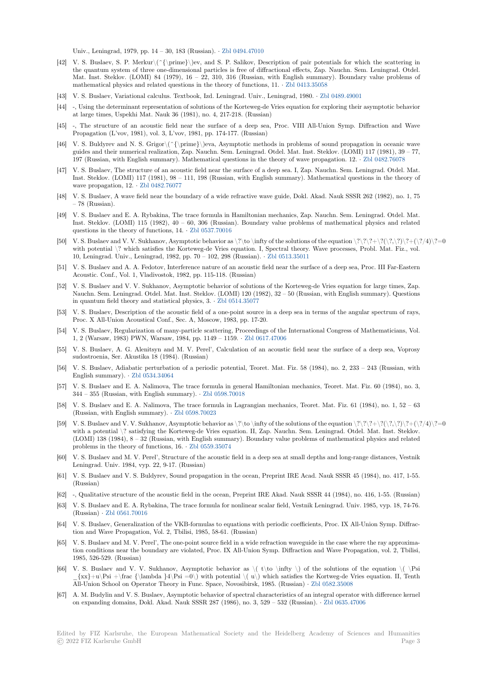Univ., Leningrad, 1979, pp. 14 – 30, 183 (Russian). *·* Zbl 0494.47010

- [42] V. S. Buslaev, S. P. Merkur\(^{\prime}\)ev, and S. P. Salikov, Description of pair potentials for which the scattering in the quantum system of three one-dimensional particles is free of diffractional effects, Zap. Nauchn. Sem. Leningrad. Otdel. Mat. Inst. Steklov. (LOMI) 84 (1979), 16 – 22, 310, 316 (Russian, with English summary). Boundary value problems of mathematical physics and related questions in the theory of functions, 11. *·* Zbl 0413.35058
- [43] V. S. Buslaev, Variational calculus. Textbook, Izd. L[eningrad. Univ.,](https://zbmath.org/0494.47010) Leningrad, 1980. *·* Zbl 0489.49001
- [44] -, Using the determinant representation of solutions of the Korteweg-de Vries equation for exploring their asymptotic behavior at large times, Uspekhi Mat. Nauk 36 (1981), no. 4, 217-218. (Russian)
- [45] -, The structure of an acoustic field near the surface of a deep sea, Pro[c. VIII All-Uni](https://zbmath.org/0413.35058)on Symp. Diffraction and Wave Propagation (L'vov, 1981), vol. 3, L'vov, 1981, pp. 174-177. (Russian)
- [46] V. S. Buldyrev and N. S. Grigor\(^{\prime}\)eva, Asymptotic methods in problems of sound propagation in oceanic wave guides and their numerical realization, Zap. Nauchn. Sem. Leningrad. Otdel. Mat. Inst. Steklov. (LOMI) 117 (1981), 39 – 77, 197 (Russian, with English summary). Mathematical questions in the theory of wave propagation. 12. *·* Zbl 0482.76078
- [47] V. S. Buslaev, The structure of an acoustic field near the surface of a deep sea. I, Zap. Nauchn. Sem. Leningrad. Otdel. Mat. Inst. Steklov. (LOMI) 117 (1981), 98 – 111, 198 (Russian, with English summary). Mathematical questions in the theory of wave propagation, 12. *·* Zbl 0482.76077
- [48] V. S. Buslaev, A wave field near the boundary of a wide refractive wave guide, Dokl. Akad. Nauk SSSR [262 \(1982\), no.](https://zbmath.org/0482.76078) 1, 75 – 78 (Russian).
- [49] V. S. Buslaev and E. A. Rybakina, The trace formula in Hamiltonian mechanics, Zap. Nauchn. Sem. Leningrad. Otdel. Mat. Inst. Steklov. (LOMI) [115 \(1982\), 40 –](https://zbmath.org/0482.76077) 60, 306 (Russian). Boundary value problems of mathematical physics and related questions in the theory of functions, 14. *·* Zbl 0537.70016
- [50] V. S. Buslaev and V. V. Sukhanov, Asymptotic behavior as \?\to \infty of the solutions of the equation \?\?\?+\?(\?,\?)\?+(\?/4)\?=0 with potential \? which satisfies the Korteweg-de Vries equation. I, Spectral theory. Wave processes, Probl. Mat. Fiz., vol. 10, Leningrad. Univ., Leningrad, 1982, pp. 70 – 102, 298 (Russian). *·* Zbl 0513.35011
- [51] V. S. Buslaev and A. A. Fedotov, Interfer[ence nature of a](https://zbmath.org/0537.70016)n acoustic field near the surface of a deep sea, Proc. III Far-Eastern Acoustic. Conf., Vol. 1, Vladivostok, 1982, pp. 115-118. (Russian)
- [52] V. S. Buslaev and V. V. Sukhanov, Asymptotic behavior of solutions of the Korteweg-de Vries equation for large times, Zap. Nauchn. Sem. Leningrad. Otdel. Mat. Inst. Steklov. (LOMI) 120 (198[2\), 32 – 50 \(Rus](https://zbmath.org/0513.35011)sian, with English summary). Questions in quantum field theory and statistical physics, 3. *·* Zbl 0514.35077
- [53] V. S. Buslaev, Description of the acoustic field of a one-point source in a deep sea in terms of the angular spectrum of rays, Proc. X All-Union Acoustical Conf., Sec. A, Moscow, 1983, pp. 17-20.
- [54] V. S. Buslaev, Regularization of many-particle scattering, Proceedings of the International Congress of Mathematicians, Vol. 1, 2 (Warsaw, 1983) PWN, Warsaw, 1984, pp. 1149 [– 1159.](https://zbmath.org/0514.35077) *·* Zbl 0617.47006
- [55] V. S. Buslaev, A. G. Alenitsyn and M. V. Perel', Calculation of an acoustic field near the surface of a deep sea, Voprosy sudostroenia, Ser. Akustika 18 (1984). (Russian)
- [56] V. S. Buslaev, Adiabatic perturbation of a periodic potential, Teoret. Mat. Fiz. 58 (1984), no. 2, 233 243 (Russian, with English summary). *·* Zbl 0534.34064
- [57] V. S. Buslaev and E. A. Nalimova, The trace formula in general Hamiltonian mechanics, Teoret. Mat. Fiz. 60 (1984), no. 3, 344 – 355 (Russian, with English summary). *·* Zbl 0598.70018
- [58] V. S. Buslaev and E. A. Nalimova, The trace formula in Lagrangian mechanics, Teoret. Mat. Fiz. 61 (1984), no. 1, 52 63 (Russian, with Engli[sh summary\).](https://zbmath.org/0534.34064) *·* Zbl 0598.70023
- [59] V. S. Buslaev and V. V. Sukhanov, Asymptotic behavior as  $\? \to \infty$  for the solutions of the equation  $? \? \? \? \? \? \? \? \? \? \? \? \? \? \? \? \$ with a potential \? satisfying the Korteweg-d[e Vries equation](https://zbmath.org/0598.70018). II, Zap. Nauchn. Sem. Leningrad. Otdel. Mat. Inst. Steklov. (LOMI) 138 (1984), 8 – 32 (Russian, with English summary). Boundary value problems of mathematical physics and related problems in the theory of functions, 16. *·* Zbl 0559.35074
- [60] V. S. Buslaev and M. V. Perel', Stru[cture of the aco](https://zbmath.org/0598.70023)ustic field in a deep sea at small depths and long-range distances, Vestnik Leningrad. Univ. 1984, vyp. 22, 9-17. (Russian)
- [61] V. S. Buslaev and V. S. Buldyrev, Sound propagation in the ocean, Preprint IRE Acad. Nauk SSSR 45 (1984), no. 417, 1-55. (Russian)
- [62] -, Qualitative structure of the acoustic field in the ocean, Preprint IRE Akad. Nauk SSSR 44 (1984), no. 416, 1-55. (Russian)
- [63] V. S. Buslaev and E. A. Rybakina, The trace formula for nonlinear scalar field, Vestnik Leningrad. Univ. 1985, vyp. 18, 74-76. (Russian) *·* Zbl 0561.70016
- [64] V. S. Buslaev, Generalization of the VKB-formulas to equations with periodic coefficients, Proc. IX All-Union Symp. Diffraction and Wave Propagation, Vol. 2, Tbilisi, 1985, 58-61. (Russian)
- [65] V. S. Buslaev and M. V. Perel', The one-point source field in a wide refraction waveguide in the case where the ray approximation conditi[ons near the bo](https://zbmath.org/0561.70016)undary are violated, Proc. IX All-Union Symp. Diffraction and Wave Propagation, vol. 2, Tbilisi, 1985, 526-529. (Russian)
- [66] V. S. Buslaev and V. V. Sukhanov, Asymptotic behavior as  $\langle \cdot \rangle$  of the solutions of the equation  $\langle \cdot \rangle$  Psi  $\{x\}+u\Psi \$ i +\frac  $\{\lambda _4\}$ si =0\) with potential  $\( u\)$  which satisfies the Kortweg-de Vries equation. II, Tenth All-Union School on Operator Theory in Func. Space, Novosibirsk, 1985. (Russian) *·* Zbl 0582.35008
- [67] A. M. Budylin and V. S. Buslaev, Asymptotic behavior of spectral characteristics of an integral operator with difference kernel on expanding domains, Dokl. Akad. Nauk SSSR 287 (1986), no. 3, 529 – 532 (Russian). *·* Zbl 0635.47006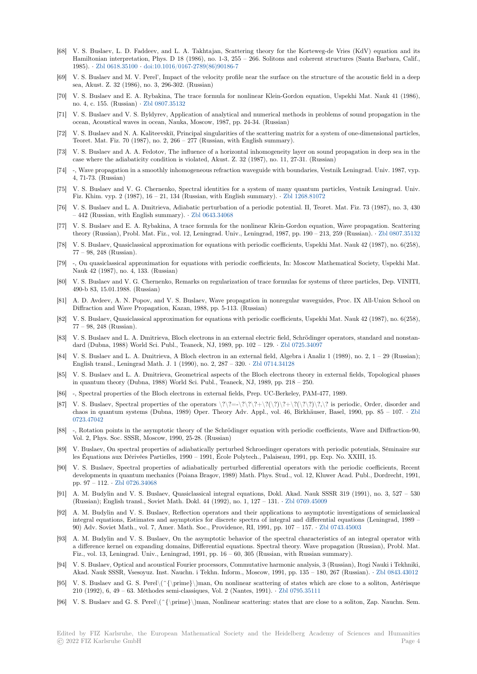- [68] V. S. Buslaev, L. D. Faddeev, and L. A. Takhtajan, Scattering theory for the Korteweg-de Vries (KdV) equation and its Hamiltonian interpretation, Phys. D 18 (1986), no. 1-3, 255 – 266. Solitons and coherent structures (Santa Barbara, Calif., 1985). *·* Zbl 0618.35100 *·* doi:10.1016/0167-2789(86)90186-7
- [69] V. S. Buslaev and M. V. Perel', Impact of the velocity profile near the surface on the structure of the acoustic field in a deep sea, Akust. Z. 32 (1986), no. 3, 296-302. (Russian)
- [70] V. S. Buslaev and E. A. Rybakina, The trace formula for nonlinear Klein-Gordon equation, Uspekhi Mat. Nauk 41 (1986), no. 4, c. [155. \(Russian\)](https://zbmath.org/0618.35100) *·* [Zbl 0807.35132](https://dx.doi.org/10.1016/0167-2789(86)90186-7)
- [71] V. S. Buslaev and V. S. Byldyrev, Application of analytical and numerical methods in problems of sound propagation in the ocean, Acoustical waves in ocean, Nauka, Moscow, 1987, pp. 24-34. (Russian)
- [72] V. S. Buslaev and N. A. Kaliteevskiĭ, Principal singularities of the scattering matrix for a system of one-dimensional particles, Teoret. Mat. Fiz. 70 (198[7\), no. 2, 266 –](https://zbmath.org/0807.35132) 277 (Russian, with English summary).
- [73] V. S. Buslaev and A. A. Fedotov, The influence of a horizontal inhomogeneity layer on sound propagation in deep sea in the case where the adiabaticity condition is violated, Akust. Z. 32 (1987), no. 11, 27-31. (Russian)
- [74] -, Wave propagation in a smoothly inhomogeneous refraction waveguide with boundaries, Vestnik Leningrad. Univ. 1987, vyp. 4, 71-73. (Russian)
- [75] V. S. Buslaev and V. G. Chernenko, Spectral identities for a system of many quantum particles, Vestnik Leningrad. Univ. Fiz. Khim. vyp. 2 (1987), 16 – 21, 134 (Russian, with English summary). *·* Zbl 1268.81072
- [76] V. S. Buslaev and L. A. Dmitrieva, Adiabatic perturbation of a periodic potential. II, Teoret. Mat. Fiz. 73 (1987), no. 3, 430 – 442 (Russian, with English summary). *·* Zbl 0643.34068
- [77] V. S. Buslaev and E. A. Rybakina, A trace formula for the nonlinear Klein-Gordon equation, Wave propagation. Scattering theory (Russian), Probl. Mat. Fiz., vol. 12, Leningrad. Univ., Leningrad, 19[87, pp. 190 – 21](https://zbmath.org/1268.81072)3, 259 (Russian). *·* Zbl 0807.35132
- [78] V. S. Buslaev, Quasiclassical approximation for equations with periodic coefficients, Uspekhi Mat. Nauk 42 (1987), no. 6(258), 77 – 98, 248 (Russian).
- [79] -, On quasiclassical approximation for equations with periodic coefficients, In: Moscow Mathematical Society, Uspekhi Mat. Nauk 42 (1987), no. 4, 133. (Russian)
- [80] V. S. Buslaev and V. G. Chernenko, Remarks on regularization of trace formulas for systems of three particles, Dep. VINITI, 490-b 83, 15.01.1988. (Russian)
- [81] A. D. Avdeev, A. N. Popov, and V. S. Buslaev, Wave propagation in nonregular waveguides, Proc. IX All-Union School on Diffraction and Wave Propagation, Kazan, 1988, pp. 5-113. (Russian)
- [82] V. S. Buslaev, Quasiclassical approximation for equations with periodic coefficients, Uspekhi Mat. Nauk 42 (1987), no. 6(258), 77 – 98, 248 (Russian).
- [83] V. S. Buslaev and L. A. Dmitrieva, Bloch electrons in an external electric field, Schrödinger operators, standard and nonstandard (Dubna, 1988) World Sci. Publ., Teaneck, NJ, 1989, pp. 102 – 129. *·* Zbl 0725.34097
- [84] V. S. Buslaev and L. A. Dmitrieva, A Bloch electron in an external field, Algebra i Analiz 1 (1989), no. 2, 1 29 (Russian); English transl., Leningrad Math. J. 1 (1990), no. 2, 287 – 320. *·* Zbl 0714.34128
- [85] V. S. Buslaev and L. A. Dmitrieva, Geometrical aspects of the Bloch electrons theory in external fields, Topological phases in quantum theory (Dubna, 1988) World Sci. Publ., Teaneck, NJ, 1989, p[p. 218 – 250.](https://zbmath.org/0725.34097)
- [86] -, Spectral properties of the Bloch electrons in external fields, Prep. UC-Berkeley, PAM-477, 1989.
- [87] V. S. Buslaev, Spectral properties of the operators  $\?\?\?\=\?\?\?\?\?\+\?\(\?\?\)\?\.\]\?\$  is periodic, Order, disorder and chaos in quantum systems (Dubna, 1989) Oper. Theory Adv. Appl., vol. 46, Birkhäuser, Basel, 1990, pp. 85 – 107. *·* Zbl 0723.47042
- [88] -, Rotation points in the asymptotic theory of the Schrödinger equation with periodic coefficients, Wave and Diffraction-90, Vol. 2, Phys. Soc. SSSR, Moscow, 1990, 25-28. (Russian)
- [89] V. Buslaev, On spectral properties of adiabatically perturbed Schroedinger operators with periodic potentials, Séminaire [sur](https://zbmath.org/0723.47042) [les Équatio](https://zbmath.org/0723.47042)ns aux Dérivées Partielles, 1990 – 1991, École Polytech., Palaiseau, 1991, pp. Exp. No. XXIII, 15.
- [90] V. S. Buslaev, Spectral properties of adiabatically perturbed differential operators with the periodic coefficients, Recent developments in quantum mechanics (Poiana Braşov, 1989) Math. Phys. Stud., vol. 12, Kluwer Acad. Publ., Dordrecht, 1991, pp. 97 – 112. *·* Zbl 0726.34068
- [91] A. M. Budylin and V. S. Buslaev, Quasiclassical integral equations, Dokl. Akad. Nauk SSSR 319 (1991), no. 3, 527 530 (Russian); English transl., Soviet Math. Dokl. 44 (1992), no. 1, 127 – 131. *·* Zbl 0769.45009
- [92] A. M. Budylin and V. S. Buslaev, Reflection operators and their applications to asymptotic investigations of semiclassical integral equati[ons, Estimates a](https://zbmath.org/0726.34068)nd asymptotics for discrete spectra of integral and differential equations (Leningrad, 1989 – 90) Adv. Soviet Math., vol. 7, Amer. Math. Soc., Providence, RI, 1991, pp. 107 – 157. *·* Zbl 0743.45003
- [93] A. M. Budylin and V. S. Buslaev, On the asymptotic behavior of the spe[ctral characteris](https://zbmath.org/0769.45009)tics of an integral operator with a difference kernel on expanding domains, Differential equations. Spectral theory. Wave propagation (Russian), Probl. Mat. Fiz., vol. 13, Leningrad. Univ., Leningrad, 1991, pp. 16 – 60, 305 (Russian, with Russian summary).
- [94] V. S. Buslaev, Optical and acoustical Fourier processors, Commutative harmonic analysis[, 3 \(Russian\), It](https://zbmath.org/0743.45003)ogi Nauki i Tekhniki, Akad. Nauk SSSR, Vsesoyuz. Inst. Nauchn. i Tekhn. Inform., Moscow, 1991, pp. 135 – 180, 267 (Russian). *·* Zbl 0843.43012
- [95] V. S. Buslaev and G. S. Perel $\(\{\{\prime\})$ man, On nonlinear scattering of states which are close to a soliton, Astérisque 210 (1992), 6, 49 – 63. Méthodes semi-classiques, Vol. 2 (Nantes, 1991). *·* Zbl 0795.35111
- [96] V. S. Buslaev and G. S. Perel\(^{\prime}\)man, Nonlinear scattering: states that are close to a soliton, Zap. Nauchn. Sem.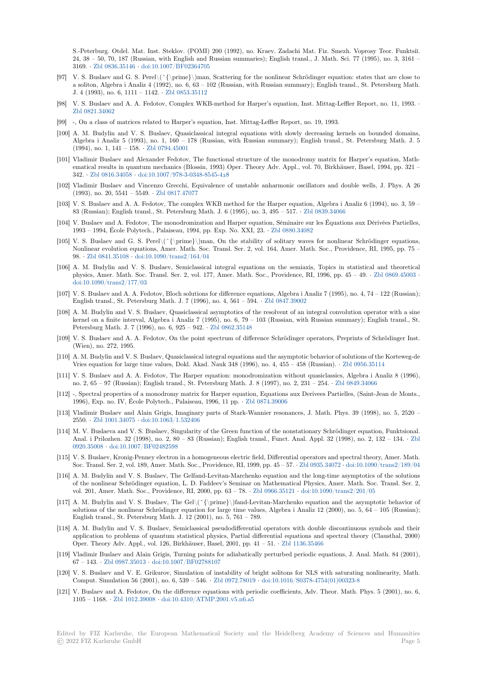S.-Peterburg. Otdel. Mat. Inst. Steklov. (POMI) 200 (1992), no. Kraev. Zadachi Mat. Fiz. Smezh. Voprosy Teor. Funktsiĭ. 24, 38 – 50, 70, 187 (Russian, with English and Russian summaries); English transl., J. Math. Sci. 77 (1995), no. 3, 3161 – 3169. *·* Zbl 0836.35146 *·* doi:10.1007/BF02364705

- [97] V. S. Buslaev and G. S. Perel\(^{\prime}\)man, Scattering for the nonlinear Schrödinger equation: states that are close to a soliton, Algebra i Analiz 4 (1992), no. 6, 63 – 102 (Russian, with Russian summary); English transl., St. Petersburg Math. J. 4 (1993), no. 6, 1111 – 1142. *·* Zbl 0853.35112
- [98] V. S.B[uslaev and A. A](https://zbmath.org/0836.35146). [Fedotov, Complex WKB](https://dx.doi.org/10.1007/BF02364705)-method for Harper's equation, Inst. Mittag-Leffler Report, no. 11, 1993. *·* Zbl 0821.34062
- [99] -, On a class of matrices related to Harper's equation, Inst. Mittag-Leffler Report, no. 19, 1993.
- [100] A. M. Budylin and V. S. Busla[ev, Quasiclassic](https://zbmath.org/0853.35112)al integral equations with slowly decreasing kernels on bounded domains, Algebra i Analiz 5 (1993), no. 1, 160 – 178 (Russian, with Russian summary); English transl., St. Petersburg Math. J. 5 [\(1994\), no. 1, 1](https://zbmath.org/0821.34062)41 – 158. *·* Zbl 0794.45001
- [101] Vladimir Buslaev and Alexander Fedotov, The functional structure of the monodromy matrix for Harper's equation, Mathematical results in quantum mechanics (Blossin, 1993) Oper. Theory Adv. Appl., vol. 70, Birkhäuser, Basel, 1994, pp. 321 – 342. *·* Zbl 0816.34058 *·* doi:10.1007/978-3-0348-8545-438
- [102] Vladimir Buslaev and Vi[ncenzo Grecchi,](https://zbmath.org/0794.45001) Equivalence of unstable anharmonic oscillators and double wells, J. Phys. A 26 (1993), no. 20, 5541 – 5549. *·* Zbl 0817.47077
- [103] V. S. Buslaev and A. A. Fedotov, The complex WKB method for the Harper equation, Algebra i Analiz 6 (1994), no. 3, 59 83 (R[ussian\); English](https://zbmath.org/0816.34058)t[ransl., St. Petersburg Math. J. 6](https://dx.doi.org/10.1007/978-3-0348-8545-4_38) (1995), no. 3, 495 – 517. *·* Zbl 0839.34066
- [104] V. Buslaev and A. Fedotov, The monodromization and Harper equation, Séminaire sur les Équations aux Dérivées Partielles, 1993 – 1994, École Polytech., [Palaiseau, 1994](https://zbmath.org/0817.47077), pp. Exp. No. XXI, 23. *·* Zbl 0880.34082
- [105] V. S. Buslaev and G. S. Perel $(\{\prime\})$ man, On the stability of solitary waves for nonlinear Schrödinger equations, Nonlinear evolution equations, Amer. Math. Soc. Transl. Ser. 2, vol. 164, Amer. [Math. Soc., Prov](https://zbmath.org/0839.34066)idence, RI, 1995, pp. 75 – 98. *·* Zbl 0841.35108 *·* doi:10.1090/trans2/164/04
- [106] A. M. Budylin and V. S. Buslaev, Semiclassical integral equationso[n the semiaxis](https://zbmath.org/0880.34082), Topics in statistical and theoretical physics, Amer. Math. Soc. Transl. Ser. 2, vol. 177, Amer. Math. Soc., Providence, RI, 1996, pp. 45 – 49. *·* Zbl 0869.45003 *·* doi:10.1090/trans2/177/03
- [107] V. S. [Buslaev and A.](https://zbmath.org/0841.35108) [A. Fedotov, Bloch solutions](https://dx.doi.org/10.1090/trans2/164/04) for difference equations, Algebra i Analiz 7 (1995), no. 4, 74 122 (Russian); English transl., St. Petersburg Math. J. 7 (1996), no. 4, 561 – 594. *·* Zbl 0847.39002
- [108] A. M. Budylin and V. S. Buslaev, Quasiclassical asymptotics of the resolvent of an integral convolution ope[rator with a sin](https://zbmath.org/0869.45003)e [kernel on a finite interval,](https://dx.doi.org/10.1090/trans2/177/03) Algebra i Analiz 7 (1995), no. 6, 79 – 103 (Russian, with Russian summary); English transl., St. Petersburg Math. J. 7 (1996), no. 6, 925 – 942. *·* Zbl 0862.35148
- [109] V. S. Buslaev and A. A. Fedotov, On the point spectrum of differen[ce Schrödinger o](https://zbmath.org/0847.39002)perators, Preprints of Schrödinger Inst. (Wien), no. 272, 1995.
- [110] A. M. Budylin and V. S. Buslaev, Quasiclassical integral equations and the asymptotic behavior of solutions of the Korteweg-de Vries equation for large time values, Dokl. Akad. [Nauk 348 \(1996](https://zbmath.org/0862.35148)), no. 4, 455 – 458 (Russian). *·* Zbl 0956.35114
- [111] V. S. Buslaev and A. A. Fedotov, The Harper equation: monodromization without quasiclassics, Algebra i Analiz 8 (1996), no. 2, 65 – 97 (Russian); English transl., St. Petersburg Math. J. 8 (1997), no. 2, 231 – 254. *·* Zbl 0849.34066
- [112] -, Spectral properties of a monodromy matrix for Harper equation, Equations aux Derivees Partielles, (Saint-Jean de Monts., 1996), Exp. no. IV, École Polytech., Palaiseau, 1996, 11 pp. *·* Zbl 0874.39006
- [113] Vladimir Buslaev and Alain Grigis, Imaginary parts of Stark-Wannier resonances, J. Math. Phys. 39 (1998), no. 5, 2520 2550. *·* Zbl 1001.34075 *·* doi:10.1063/1.532406
- [114] M. V. Buslaeva and V. S. Buslaev, Singularity of the Green function of the nonstationary Schrödinger equation, Funktsional. Anal. i Prilozhen. 32 (1998), no. 2, 80 – 83 (Russian); Englis[h transl., Funct](https://zbmath.org/0874.39006). Anal. Appl. 32 (1998), no. 2, 132 – 134. *·* Zbl 0920.35008 *·* doi:10.1007/BF02482598
- [115] V. S. B[uslaev, Kronig-P](https://zbmath.org/1001.34075)e[nney electron in a hom](https://dx.doi.org/10.1063/1.532406)ogeneous electric field, Differential operators and spectral theory, Amer. Math. Soc. Transl. Ser. 2, vol. 189, Amer. Math. Soc., Providence, RI, 1999, pp. 45 – 57. *·* Zbl 0935.34072 *·* doi:10.1090/trans2/189/04
- [116] A. M. Budylin and V. S. Buslaev, The Gelfand-Levitan-Marchenko equation and the long-time asymptotics of the soluti[ons](https://zbmath.org/0920.35008) [of the nonli](https://zbmath.org/0920.35008)n[ear Schrödinger equation](https://dx.doi.org/10.1007/BF02482598), L. D. Faddeev's Seminar on Mathematical Physics, Amer. Math. Soc. Transl. Ser. 2, vol. 201, Amer. Math. Soc., Providence, RI, 2000, pp. 63 – 78. *·* Zbl 0966.35121 *·* doi:10.1090/trans2/201/05
- [117] A. M. Budylin and V. S. Buslaev, The Gel\(^{\prime}\)fand-Levitan-Marchen[ko equation and](https://zbmath.org/0935.34072) [the asymptotic behavior of](https://dx.doi.org/10.1090/trans2/189/04) solutions of the nonlinear Schrödinger equation for large time values, Algebra i Analiz 12 (2000), no.  $5, 64 - 105$  (Russian); English transl., St. Petersburg Math. J. 12 (2001), no. 5, 761 – 789.
- [118] A. M. Budylin and V. S. Buslaev, Semiclassical pseudodifferen[tial operators w](https://zbmath.org/0966.35121)i[th double discontinuous sy](https://dx.doi.org/10.1090/trans2/201/05)mbols and their application to problems of quantum statistical physics, Partial differential equations and spectral theory (Clausthal, 2000) Oper. Theory Adv. Appl., vol. 126, Birkhäuser, Basel, 2001, pp. 41 – 51. *·* Zbl 1136.35466
- [119] Vladimir Buslaev and Alain Grigis, Turning points for adiabatically perturbed periodic equations, J. Anal. Math. 84 (2001), 67 – 143. *·* Zbl 0987.35013 *·* doi:10.1007/BF02788107
- [120] V. S. Buslaev and V. E. Grikurov, Simulation of instability of bright solitons for NLS with saturating nonlinearity, Math. Comput. Simulation 56 (2001), no. 6, 539 – 546. *·* Zbl 0972.78019 *·* doi:10.[1016/S0378-475](https://zbmath.org/1136.35466)4(01)00323-8
- [121] V. Buslaev and A. Fedotov, On the difference equations with periodic coefficients, Adv. Theor. Math. Phys. 5 (2001), no. 6, 1105 – 1168. *·* [Zbl 1012.39](https://zbmath.org/0987.35013)008 *·* [doi:10.4310/ATMP.20](https://dx.doi.org/10.1007/BF02788107)01.v5.n6.a5